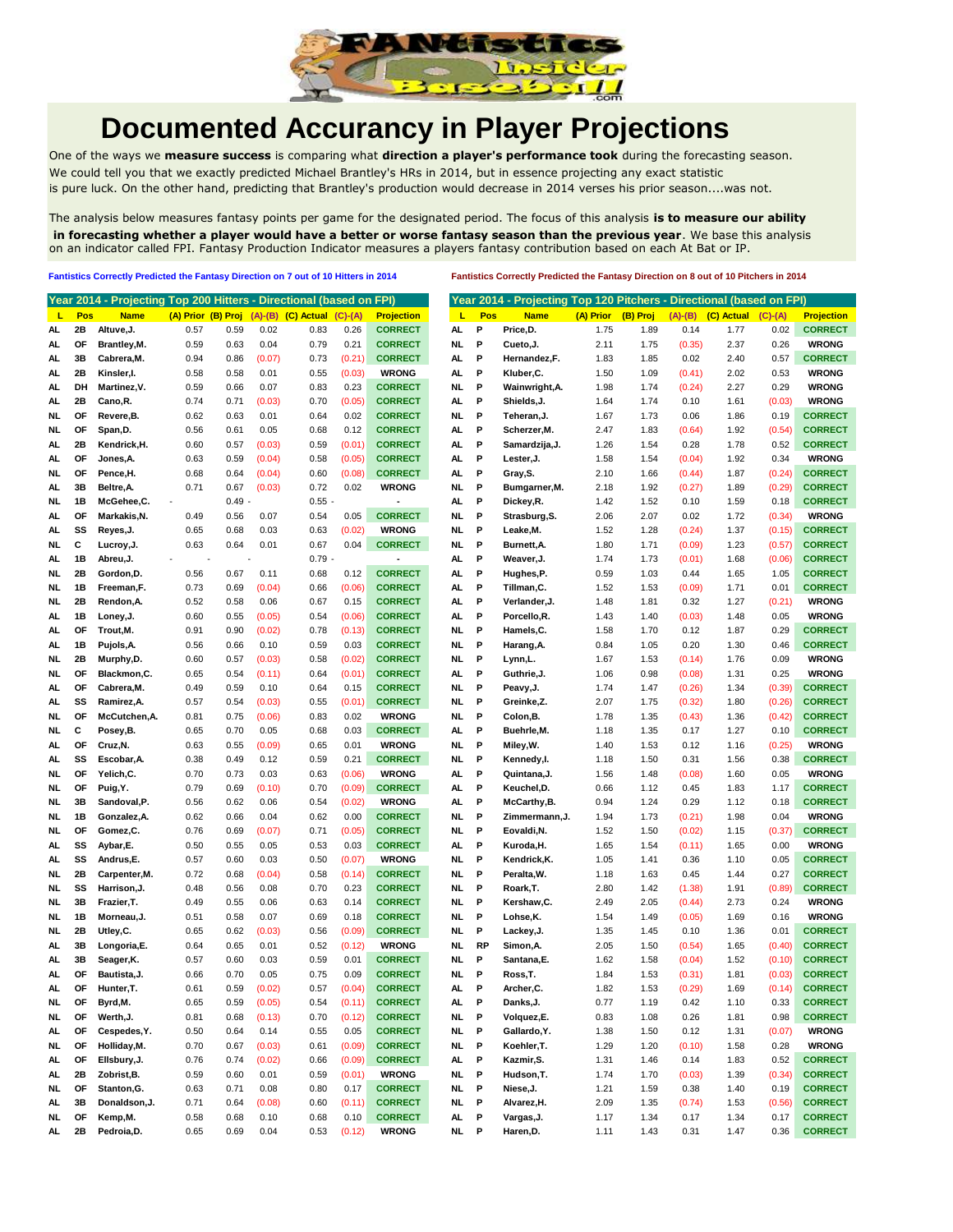

## **Documented Accurancy in Player Projections**

One of the ways we **measure success** is comparing what **direction a player's performance took** during the forecasting season. We could tell you that we exactly predicted Michael Brantley's HRs in 2014, but in essence projecting any exact statistic is pure luck. On the other hand, predicting that Brantley's production would decrease in 2014 verses his prior season....was not.

The analysis below measures fantasy points per game for the designated period. The focus of this analysis **is to measure our ability in forecasting whether a player would have a better or worse fantasy season than the previous year**. We base this analysis on an indicator called FPI. Fantasy Production Indicator measures a players fantasy contribution based on each At Bat or IP.

**Fantistics Correctly Predicted the Fantasy Direction on 7 out of 10 Hitters in 2014 Fantistics Correctly Predicted the Fantasy Direction on 8 out of 10 Pitchers in 2014**

|     |           | Year 2014 - Projecting Top 200 Hitters - Directional (based on FPI) |                    |      |           |            |           |                   |           |     | Year 2014 - Projecting Top 120 Pitchers - Directional (based on FPI) |           |          |           |            |           |                   |
|-----|-----------|---------------------------------------------------------------------|--------------------|------|-----------|------------|-----------|-------------------|-----------|-----|----------------------------------------------------------------------|-----------|----------|-----------|------------|-----------|-------------------|
| Ш   | Pos       | <b>Name</b>                                                         | (A) Prior (B) Proj |      | $(A)-(B)$ | (C) Actual | $(C)-(A)$ | <b>Projection</b> | Е         | Pos | <b>Name</b>                                                          | (A) Prior | (B) Proj | $(A)-(B)$ | (C) Actual | $(C)-(A)$ | <b>Projection</b> |
| AL  | 2Β        | Altuve, J.                                                          | 0.57               | 0.59 | 0.02      | 0.83       | 0.26      | <b>CORRECT</b>    | AL        | P   | Price,D.                                                             | 1.75      | 1.89     | 0.14      | 1.77       | 0.02      | <b>CORRECT</b>    |
| AL  | OF        | Brantley, M.                                                        | 0.59               | 0.63 | 0.04      | 0.79       | 0.21      | <b>CORRECT</b>    | NL        | P   | Cueto, J.                                                            | 2.11      | 1.75     | (0.35)    | 2.37       | 0.26      | <b>WRONG</b>      |
| AL  | 3B        | Cabrera, M.                                                         | 0.94               | 0.86 | (0.07)    | 0.73       | (0.21)    | <b>CORRECT</b>    | AL        | Р   | Hernandez,F.                                                         | 1.83      | 1.85     | 0.02      | 2.40       | 0.57      | <b>CORRECT</b>    |
| AL  | 2Β        | Kinsler, I.                                                         | 0.58               | 0.58 | 0.01      | 0.55       | (0.03)    | <b>WRONG</b>      | AL        | P   | Kluber, C.                                                           | 1.50      | 1.09     | (0.41)    | 2.02       | 0.53      | <b>WRONG</b>      |
| AL  | DH        | Martinez, V.                                                        | 0.59               | 0.66 | 0.07      | 0.83       | 0.23      | <b>CORRECT</b>    | NL        | P   | Wainwright, A.                                                       | 1.98      | 1.74     | (0.24)    | 2.27       | 0.29      | <b>WRONG</b>      |
| AL. | 2Β        | Cano, R.                                                            | 0.74               | 0.71 | (0.03)    | 0.70       | (0.05)    | <b>CORRECT</b>    | AL.       | P   | Shields, J.                                                          | 1.64      | 1.74     | 0.10      | 1.61       | (0.03)    | <b>WRONG</b>      |
| NL  | <b>OF</b> | Revere, B.                                                          | 0.62               | 0.63 | 0.01      | 0.64       | 0.02      | <b>CORRECT</b>    | NL        | P   | Teheran, J.                                                          | 1.67      | 1.73     | 0.06      | 1.86       | 0.19      | <b>CORRECT</b>    |
| NL. | <b>OF</b> | Span,D.                                                             | 0.56               | 0.61 | 0.05      | 0.68       | 0.12      | <b>CORRECT</b>    | AL.       | P   | Scherzer, M.                                                         | 2.47      | 1.83     | (0.64)    | 1.92       | (0.54)    | <b>CORRECT</b>    |
| AL  | 2B        | Kendrick, H.                                                        | 0.60               | 0.57 | (0.03)    | 0.59       | (0.01)    | <b>CORRECT</b>    | AL        | Р   | Samardzija, J.                                                       | 1.26      | 1.54     | 0.28      | 1.78       | 0.52      | <b>CORRECT</b>    |
| AL  | OF        | Jones, A.                                                           | 0.63               | 0.59 | (0.04)    | 0.58       | (0.05)    | <b>CORRECT</b>    | AL        | Р   | Lester, J.                                                           | 1.58      | 1.54     | (0.04)    | 1.92       | 0.34      | <b>WRONG</b>      |
| NL  | OF        | Pence,H.                                                            | 0.68               | 0.64 | (0.04)    | 0.60       | (0.08)    | <b>CORRECT</b>    | AL        | P   | Gray, S.                                                             | 2.10      | 1.66     | (0.44)    | 1.87       | (0.24)    | <b>CORRECT</b>    |
| AL  | 3B        | Beltre, A.                                                          | 0.71               | 0.67 | (0.03)    | 0.72       | 0.02      | <b>WRONG</b>      | NL        | P   | Bumgarner, M.                                                        | 2.18      | 1.92     | (0.27)    | 1.89       | (0.29)    | <b>CORRECT</b>    |
| NL  | 1B        | McGehee,C.                                                          | ä,                 | 0.49 |           | 0.55       |           |                   | AL        | P   | Dickey,R.                                                            | 1.42      | 1.52     | 0.10      | 1.59       | 0.18      | <b>CORRECT</b>    |
| AL  | OF        | Markakis, N.                                                        | 0.49               | 0.56 | 0.07      | 0.54       | 0.05      | <b>CORRECT</b>    | NL        | P   | Strasburg, S.                                                        | 2.06      | 2.07     | 0.02      | 1.72       | (0.34)    | <b>WRONG</b>      |
| AL  | SS        | Reyes, J.                                                           | 0.65               | 0.68 | 0.03      | 0.63       | (0.02)    | <b>WRONG</b>      | NL        | P   | Leake, M.                                                            | 1.52      | 1.28     | (0.24)    | 1.37       | (0.15)    | <b>CORRECT</b>    |
| NL  | С         | Lucroy, J.                                                          | 0.63               | 0.64 | 0.01      | 0.67       | 0.04      | <b>CORRECT</b>    | NL        | Р   | Burnett, A.                                                          | 1.80      | 1.71     | (0.09)    | 1.23       | (0.57)    | <b>CORRECT</b>    |
| AL  | 1B        | Abreu, J.                                                           |                    |      |           | 0.79       |           |                   | AL        | P   | Weaver, J.                                                           | 1.74      | 1.73     | (0.01)    | 1.68       | (0.06)    | <b>CORRECT</b>    |
| NL  | 2B        | Gordon, D.                                                          | 0.56               | 0.67 | 0.11      | 0.68       | 0.12      | <b>CORRECT</b>    | AL        | P   | Hughes,P.                                                            | 0.59      | 1.03     | 0.44      | 1.65       | 1.05      | <b>CORRECT</b>    |
| NL  | 1B        | Freeman,F.                                                          | 0.73               | 0.69 | (0.04)    | 0.66       | (0.06)    | <b>CORRECT</b>    | AL        | P   | Tillman,C.                                                           | 1.52      | 1.53     | (0.09)    | 1.71       | 0.01      | <b>CORRECT</b>    |
| NL  | 2Β        | Rendon,A.                                                           | 0.52               | 0.58 | 0.06      | 0.67       | 0.15      | <b>CORRECT</b>    | AL        | P   | Verlander, J.                                                        | 1.48      | 1.81     | 0.32      | 1.27       | (0.21)    | <b>WRONG</b>      |
| AL. | 1B        | Loney, J.                                                           | 0.60               | 0.55 | (0.05)    | 0.54       | (0.06)    | <b>CORRECT</b>    | AL.       | P   | Porcello,R.                                                          | 1.43      | 1.40     | (0.03)    | 1.48       | 0.05      | <b>WRONG</b>      |
| AL  | ΟF        | Trout, M.                                                           | 0.91               | 0.90 | (0.02)    | 0.78       | (0.13)    | <b>CORRECT</b>    | NL        | P   | Hamels,C.                                                            | 1.58      | 1.70     | 0.12      | 1.87       | 0.29      | <b>CORRECT</b>    |
| AL  | 1B        | Pujols, A.                                                          | 0.56               | 0.66 | 0.10      | 0.59       | 0.03      | <b>CORRECT</b>    | NL.       | P   | Harang, A.                                                           | 0.84      | 1.05     | 0.20      | 1.30       | 0.46      | <b>CORRECT</b>    |
| NL  | 2B        | Murphy,D.                                                           | 0.60               | 0.57 | (0.03)    | 0.58       | (0.02)    | <b>CORRECT</b>    | NL        | P   | Lynn, L.                                                             | 1.67      | 1.53     | (0.14)    | 1.76       | 0.09      | <b>WRONG</b>      |
| NL  | OF        | Blackmon, C.                                                        | 0.65               | 0.54 | (0.11)    | 0.64       | (0.01)    | <b>CORRECT</b>    | AL        | Р   | Guthrie, J.                                                          | 1.06      | 0.98     | (0.08)    | 1.31       | 0.25      | <b>WRONG</b>      |
| AL  | OF        | Cabrera, M.                                                         | 0.49               | 0.59 | 0.10      | 0.64       | 0.15      | <b>CORRECT</b>    | NL        | P   | Peavy,J.                                                             | 1.74      | 1.47     | (0.26)    | 1.34       | (0.39)    | <b>CORRECT</b>    |
| AL  | SS        | Ramirez, A.                                                         | 0.57               | 0.54 | (0.03)    | 0.55       | (0.01)    | <b>CORRECT</b>    | NL        | P   | Greinke,Z.                                                           | 2.07      | 1.75     | (0.32)    | 1.80       | (0.26)    | <b>CORRECT</b>    |
| NL  | OF        | McCutchen.A.                                                        | 0.81               | 0.75 | (0.06)    | 0.83       | 0.02      | <b>WRONG</b>      | NL        | P   | Colon, B.                                                            | 1.78      | 1.35     | (0.43)    | 1.36       | (0.42)    | <b>CORRECT</b>    |
| NL  | С         | Posey,B.                                                            | 0.65               | 0.70 | 0.05      | 0.68       | 0.03      | <b>CORRECT</b>    | AL.       | P   | Buehrle, M.                                                          | 1.18      | 1.35     | 0.17      | 1.27       | 0.10      | <b>CORRECT</b>    |
| AL  | OF        | Cruz, N.                                                            | 0.63               | 0.55 | (0.09)    | 0.65       | 0.01      | <b>WRONG</b>      | NL        | Р   | Miley, W.                                                            | 1.40      | 1.53     | 0.12      | 1.16       | (0.25)    | <b>WRONG</b>      |
| AL  | SS        | Escobar, A.                                                         | 0.38               | 0.49 | 0.12      | 0.59       | 0.21      | <b>CORRECT</b>    | NL        | P   | Kennedy,I.                                                           | 1.18      | 1.50     | 0.31      | 1.56       | 0.38      | <b>CORRECT</b>    |
| NL  | OF        | Yelich, C.                                                          | 0.70               | 0.73 | 0.03      | 0.63       | (0.06)    | <b>WRONG</b>      | AL        | P   | Quintana, J.                                                         | 1.56      | 1.48     | (0.08)    | 1.60       | 0.05      | <b>WRONG</b>      |
| NL. | OF        | Puig, Y.                                                            | 0.79               | 0.69 | (0.10)    | 0.70       | (0.09)    | <b>CORRECT</b>    | AL        | P   | Keuchel, D.                                                          | 0.66      | 1.12     | 0.45      | 1.83       | 1.17      | <b>CORRECT</b>    |
| NL  | 3B        | Sandoval, P.                                                        | 0.56               | 0.62 | 0.06      | 0.54       | (0.02)    | <b>WRONG</b>      | AL        | P   | McCarthy, B.                                                         | 0.94      | 1.24     | 0.29      | 1.12       | 0.18      | <b>CORRECT</b>    |
| NL. | 1В        | Gonzalez, A.                                                        | 0.62               | 0.66 | 0.04      | 0.62       | 0.00      | <b>CORRECT</b>    | NL        | P   | Zimmermann, J.                                                       | 1.94      | 1.73     | (0.21)    | 1.98       | 0.04      | <b>WRONG</b>      |
| NL  | OF        | Gomez,C.                                                            | 0.76               | 0.69 | (0.07)    | 0.71       | (0.05)    | <b>CORRECT</b>    | NL        | P   | Eovaldi, N.                                                          | 1.52      | 1.50     | (0.02)    | 1.15       | (0.37)    | <b>CORRECT</b>    |
| AL  | SS        | Aybar,E.                                                            | 0.50               | 0.55 | 0.05      | 0.53       | 0.03      | <b>CORRECT</b>    | AL        | P   | Kuroda,H.                                                            | 1.65      | 1.54     | (0.11)    | 1.65       | 0.00      | <b>WRONG</b>      |
| AL  | SS        | Andrus,E.                                                           | 0.57               | 0.60 | 0.03      | 0.50       | (0.07)    | <b>WRONG</b>      | NL        | P   | Kendrick, K.                                                         | 1.05      | 1.41     | 0.36      | 1.10       | 0.05      | <b>CORRECT</b>    |
| NL  | 2B        | Carpenter, M.                                                       | 0.72               | 0.68 | (0.04)    | 0.58       | (0.14)    | <b>CORRECT</b>    | NL        | P   | Peralta, W.                                                          | 1.18      | 1.63     | 0.45      | 1.44       | 0.27      | <b>CORRECT</b>    |
| NL  | SS        | Harrison, J.                                                        | 0.48               | 0.56 | 0.08      | 0.70       | 0.23      | <b>CORRECT</b>    | NL        | P   | Roark, T.                                                            | 2.80      | 1.42     | (1.38)    | 1.91       | (0.89)    | <b>CORRECT</b>    |
| NL  | 3B        | Frazier, T.                                                         | 0.49               | 0.55 | 0.06      | 0.63       | 0.14      | <b>CORRECT</b>    | NL        | P   | Kershaw, C.                                                          | 2.49      | 2.05     | (0.44)    | 2.73       | 0.24      | <b>WRONG</b>      |
| NL  | 1B        | Morneau, J.                                                         | 0.51               | 0.58 | 0.07      | 0.69       | 0.18      | <b>CORRECT</b>    | NL        | P   | Lohse,K.                                                             | 1.54      | 1.49     | (0.05)    | 1.69       | 0.16      | <b>WRONG</b>      |
| NL  | 2Β        | Utley, C.                                                           | 0.65               | 0.62 | (0.03)    | 0.56       | (0.09)    | <b>CORRECT</b>    | NL        | P   | Lackey, J.                                                           | 1.35      | 1.45     | 0.10      | 1.36       | 0.01      | <b>CORRECT</b>    |
| AL  | 3B        | Longoria,E.                                                         | 0.64               | 0.65 | 0.01      | 0.52       | (0.12)    | <b>WRONG</b>      | NL        | RP  | Simon, A.                                                            | 2.05      | 1.50     | (0.54)    | 1.65       | (0.40)    | <b>CORRECT</b>    |
| AL  | 3B        | Seager, K.                                                          | 0.57               | 0.60 | 0.03      | 0.59       | 0.01      | <b>CORRECT</b>    | NL        | P   | Santana,E.                                                           | 1.62      | 1.58     | (0.04)    | 1.52       | (0.10)    | <b>CORRECT</b>    |
| AL  | ΟF        | Bautista, J.                                                        | 0.66               | 0.70 | 0.05      | 0.75       | 0.09      | <b>CORRECT</b>    | NL.       | P   | Ross,T.                                                              | 1.84      | 1.53     | (0.31)    | 1.81       | (0.03)    | <b>CORRECT</b>    |
| ΔI  | OF        | Hunter, T.                                                          | 0.61               | 0.59 | (0.02)    | 0.57       | (0.04)    | <b>CORRECT</b>    | AL.       | P   | Archer, C.                                                           | 1.82      | 1.53     | (0.29)    | 1.69       | (0.14)    | <b>CORRECT</b>    |
| NL  | OF        | Byrd, M.                                                            | 0.65               | 0.59 | (0.05)    | 0.54       | (0.11)    | <b>CORRECT</b>    | AL        | P   | Danks, J.                                                            | 0.77      | 1.19     | 0.42      | 1.10       | 0.33      | <b>CORRECT</b>    |
| NL  | OF        | Werth, J.                                                           | 0.81               | 0.68 | (0.13)    | 0.70       | (0.12)    | <b>CORRECT</b>    | NL        | P   | Volquez,E.                                                           | 0.83      | 1.08     | 0.26      | 1.81       | 0.98      | <b>CORRECT</b>    |
| AL. | OF        | Cespedes, Y.                                                        | 0.50               | 0.64 | 0.14      | 0.55       | 0.05      | <b>CORRECT</b>    | NL        | P   | Gallardo, Y.                                                         | 1.38      | 1.50     | 0.12      | 1.31       | (0.07)    | <b>WRONG</b>      |
| NL. | OF        | Holliday, M.                                                        | 0.70               | 0.67 | (0.03)    | 0.61       | (0.09)    | <b>CORRECT</b>    | NL        | P   | Koehler, T.                                                          | 1.29      | 1.20     | (0.10)    | 1.58       | 0.28      | <b>WRONG</b>      |
| AL. | OF        | Ellsbury, J.                                                        | 0.76               | 0.74 | (0.02)    | 0.66       | (0.09)    | <b>CORRECT</b>    | AL.       | P   | Kazmir, S.                                                           | 1.31      | 1.46     | 0.14      | 1.83       | 0.52      | <b>CORRECT</b>    |
| AL. | 2Β        | Zobrist, B.                                                         | 0.59               | 0.60 | 0.01      | 0.59       | (0.01)    | <b>WRONG</b>      | NL        | P   | Hudson, T.                                                           | 1.74      | 1.70     | (0.03)    | 1.39       | (0.34)    | <b>CORRECT</b>    |
| NL  | OF        | Stanton, G.                                                         | 0.63               | 0.71 | 0.08      | 0.80       | 0.17      | <b>CORRECT</b>    | <b>NL</b> | - P | Niese, J.                                                            | 1.21      | 1.59     | 0.38      | 1.40       | 0.19      | <b>CORRECT</b>    |
| AL. | 3B        | Donaldson, J.                                                       | 0.71               | 0.64 | (0.08)    | 0.60       | (0.11)    | <b>CORRECT</b>    | <b>NL</b> | P   | Alvarez, H.                                                          | 2.09      | 1.35     | (0.74)    | 1.53       | (0.56)    | <b>CORRECT</b>    |
| NL  | OF        | Kemp,M.                                                             | 0.58               | 0.68 | 0.10      | 0.68       | 0.10      | <b>CORRECT</b>    | AL.       | P   | Vargas, J.                                                           | 1.17      | 1.34     | 0.17      | 1.34       | 0.17      | <b>CORRECT</b>    |
| AL. | 2B        | Pedroia, D.                                                         | 0.65               | 0.69 | 0.04      | 0.53       | (0.12)    | <b>WRONG</b>      | NL P      |     | Haren, D.                                                            | 1.11      | 1.43     | 0.31      | 1.47       | 0.36      | <b>CORRECT</b>    |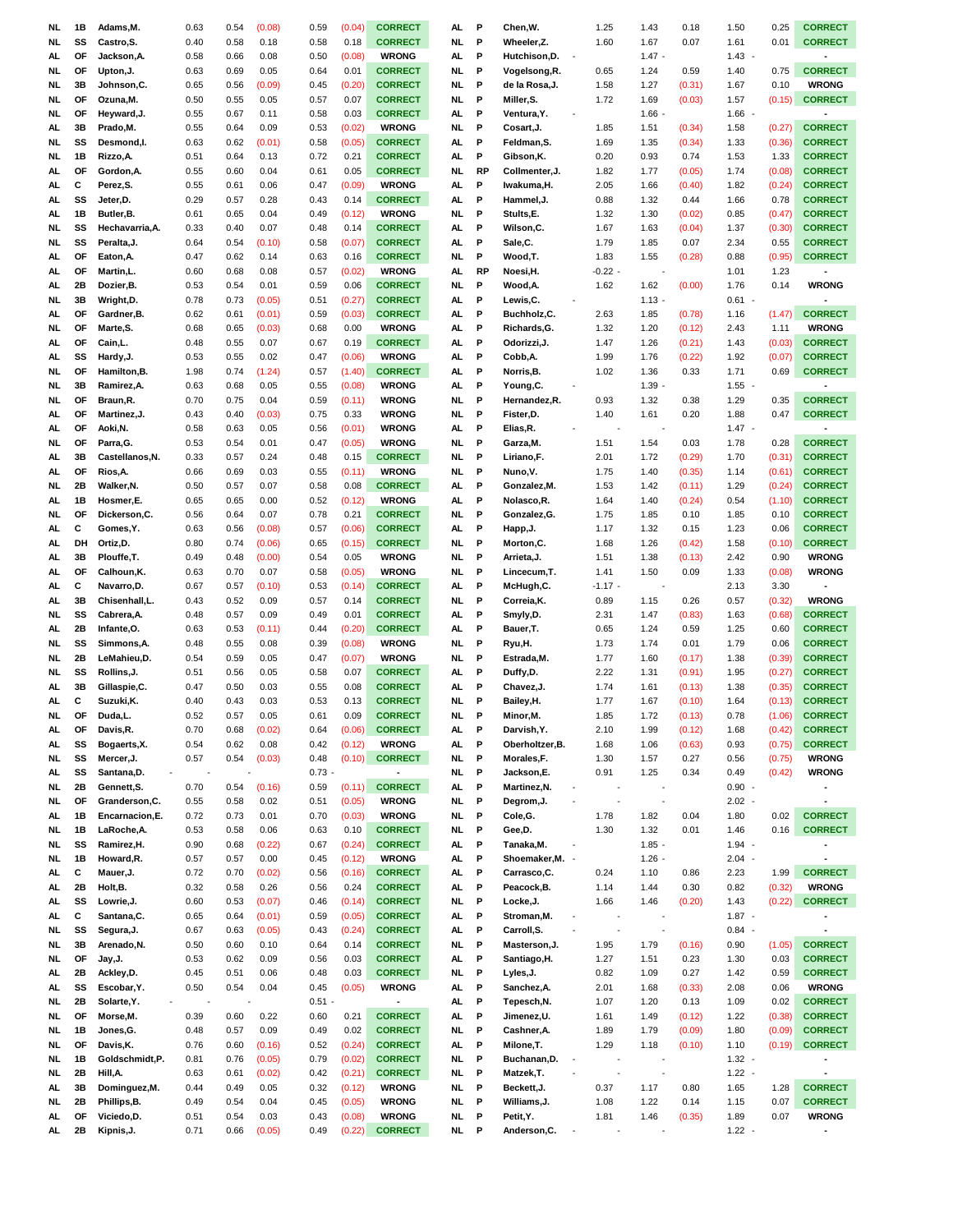| NL       | 1B | Adams, M.       | 0.63 | 0.54 | (0.08) | 0.59     | (0.04) | <b>CORRECT</b> | AL        | P  | Chen, W.                                 | 1.25                     | 1.43     | 0.18   | 1.50     | 0.25   | <b>CORRECT</b> |
|----------|----|-----------------|------|------|--------|----------|--------|----------------|-----------|----|------------------------------------------|--------------------------|----------|--------|----------|--------|----------------|
|          |    |                 |      |      |        |          |        |                |           |    |                                          |                          |          |        |          |        |                |
| NL.      | SS | Castro, S.      | 0.40 | 0.58 | 0.18   | 0.58     | 0.18   | <b>CORRECT</b> | NL        | P  | Wheeler,Z.                               | 1.60                     | 1.67     | 0.07   | 1.61     | 0.01   | <b>CORRECT</b> |
| AL       | ΟF | Jackson, A.     | 0.58 | 0.66 | 0.08   | 0.50     | (0.08) | <b>WRONG</b>   | AL.       | P  | Hutchison,D.                             |                          | $1.47 -$ |        | $1.43 -$ |        |                |
| NL       | ΟF | Upton, J.       | 0.63 | 0.69 | 0.05   | 0.64     | 0.01   | <b>CORRECT</b> | NL.       | Р  | Vogelsong, R.                            | 0.65                     | 1.24     | 0.59   | 1.40     | 0.75   | <b>CORRECT</b> |
| NL       | 3B | Johnson,C.      | 0.65 | 0.56 | (0.09) | 0.45     | (0.20) | <b>CORRECT</b> | NL.       | P  | de la Rosa,J.                            | 1.58                     | 1.27     | (0.31) | 1.67     | 0.10   | <b>WRONG</b>   |
|          |    |                 |      |      |        |          |        |                |           |    |                                          |                          |          |        |          |        |                |
| NL       | ΟF | Ozuna, M.       | 0.50 | 0.55 | 0.05   | 0.57     | 0.07   | <b>CORRECT</b> | <b>NL</b> | P  | Miller, S.                               | 1.72                     | 1.69     | (0.03) | 1.57     | (0.15) | <b>CORRECT</b> |
| NL       | ΟF | Heyward, J.     | 0.55 | 0.67 | 0.11   | 0.58     | 0.03   | <b>CORRECT</b> | AL        | P  | Ventura, Y.                              |                          | $1.66 -$ |        | 1.66     |        |                |
| AL.      | 3B | Prado, M.       | 0.55 | 0.64 | 0.09   | 0.53     | (0.02) | <b>WRONG</b>   | NL        | P  | Cosart, J.                               | 1.85                     | 1.51     | (0.34) | 1.58     | (0.27) | <b>CORRECT</b> |
|          | SS | Desmond,I.      | 0.63 |      |        |          |        | <b>CORRECT</b> | AL        | Р  |                                          | 1.69                     |          |        |          |        | <b>CORRECT</b> |
| NL       |    |                 |      | 0.62 | (0.01) | 0.58     | (0.05) |                |           |    | Feldman,S.                               |                          | 1.35     | (0.34) | 1.33     | (0.36) |                |
| NL       | 1B | Rizzo,A.        | 0.51 | 0.64 | 0.13   | 0.72     | 0.21   | <b>CORRECT</b> | AL        | P  | Gibson,K.                                | 0.20                     | 0.93     | 0.74   | 1.53     | 1.33   | <b>CORRECT</b> |
| AL       | ΟF | Gordon, A.      | 0.55 | 0.60 | 0.04   | 0.61     | 0.05   | <b>CORRECT</b> | NL.       | RP | Collmenter, J.                           | 1.82                     | 1.77     | (0.05) | 1.74     | (0.08) | <b>CORRECT</b> |
| AL       | с  | Perez, S.       | 0.55 | 0.61 | 0.06   | 0.47     | (0.09) | <b>WRONG</b>   | AL        | Р  | lwakuma,H.                               | 2.05                     | 1.66     | (0.40) | 1.82     | (0.24) | <b>CORRECT</b> |
| AL.      | SS | Jeter, D.       | 0.29 | 0.57 | 0.28   | 0.43     | 0.14   | <b>CORRECT</b> | AL        | P  | Hammel, J.                               | 0.88                     | 1.32     | 0.44   | 1.66     | 0.78   | <b>CORRECT</b> |
|          |    |                 |      |      |        |          |        |                |           |    |                                          |                          |          |        |          |        |                |
| AL       | 1B | Butler, B.      | 0.61 | 0.65 | 0.04   | 0.49     | (0.12) | <b>WRONG</b>   | NL        | P  | Stults,E.                                | 1.32                     | 1.30     | (0.02) | 0.85     | (0.47) | <b>CORRECT</b> |
| NL.      | SS | Hechavarria, A. | 0.33 | 0.40 | 0.07   | 0.48     | 0.14   | <b>CORRECT</b> | AL        | P  | Wilson,C.                                | 1.67                     | 1.63     | (0.04) | 1.37     | (0.30) | <b>CORRECT</b> |
| NL       | SS | Peralta, J.     | 0.64 | 0.54 | (0.10) | 0.58     | (0.07) | <b>CORRECT</b> | AL.       | P  | Sale,C.                                  | 1.79                     | 1.85     | 0.07   | 2.34     | 0.55   | <b>CORRECT</b> |
|          | OF |                 | 0.47 |      | 0.14   |          |        | <b>CORRECT</b> | NL        | P  |                                          | 1.83                     |          |        |          |        | <b>CORRECT</b> |
| AL       |    | Eaton, A.       |      | 0.62 |        | 0.63     | 0.16   |                |           |    | Wood,T.                                  |                          | 1.55     | (0.28) | 0.88     | (0.95) |                |
| AL       | OF | Martin, L.      | 0.60 | 0.68 | 0.08   | 0.57     | (0.02) | <b>WRONG</b>   | AL.       | RP | Noesi, H.                                | $-0.22 -$                |          |        | 1.01     | 1.23   |                |
| AL.      | 2B | Dozier, B.      | 0.53 | 0.54 | 0.01   | 0.59     | 0.06   | <b>CORRECT</b> | NL        | P  | Wood, A.                                 | 1.62                     | 1.62     | (0.00) | 1.76     | 0.14   | <b>WRONG</b>   |
| NL       | 3B | Wright, D.      | 0.78 | 0.73 | (0.05) | 0.51     | (0.27) | <b>CORRECT</b> | AL        | Р  | Lewis, C.                                |                          | $1.13 -$ |        | $0.61 -$ |        |                |
|          |    |                 |      |      |        |          |        |                |           |    |                                          |                          |          |        |          |        | <b>CORRECT</b> |
| AL.      | OF | Gardner, B.     | 0.62 | 0.61 | (0.01) | 0.59     | (0.03) | <b>CORRECT</b> | AL        | P  | Buchholz,C.                              | 2.63                     | 1.85     | (0.78) | 1.16     | (1.47) |                |
| NL       | OF | Marte, S.       | 0.68 | 0.65 | (0.03) | 0.68     | 0.00   | <b>WRONG</b>   | AL        | P  | Richards, G.                             | 1.32                     | 1.20     | (0.12) | 2.43     | 1.11   | <b>WRONG</b>   |
| AL.      | OF | Cain,L.         | 0.48 | 0.55 | 0.07   | 0.67     | 0.19   | <b>CORRECT</b> | AL        | P  | Odorizzi, J.                             | 1.47                     | 1.26     | (0.21) | 1.43     | (0.03) | <b>CORRECT</b> |
| AL       | SS | Hardy,J.        | 0.53 | 0.55 | 0.02   | 0.47     | (0.06) | <b>WRONG</b>   | AL        | Р  | Cobb, A.                                 | 1.99                     | 1.76     | (0.22) | 1.92     | (0.07) | <b>CORRECT</b> |
| NL       | OF |                 | 1.98 | 0.74 |        |          |        | <b>CORRECT</b> | AL        | P  |                                          | 1.02                     | 1.36     | 0.33   | 1.71     | 0.69   | <b>CORRECT</b> |
|          |    | Hamilton,B.     |      |      | (1.24) | 0.57     | (1.40) |                |           |    | Norris,B.                                |                          |          |        |          |        |                |
| NL       | 3B | Ramirez, A.     | 0.63 | 0.68 | 0.05   | 0.55     | (0.08) | <b>WRONG</b>   | <b>AL</b> | P  | Young,C.                                 |                          | $1.39 -$ |        | 1.55     |        |                |
| NL       | OF | Braun, R.       | 0.70 | 0.75 | 0.04   | 0.59     | (0.11) | <b>WRONG</b>   | NL        | P  | Hernandez, R.                            | 0.93                     | 1.32     | 0.38   | 1.29     | 0.35   | <b>CORRECT</b> |
| AL       | OF | Martinez, J.    | 0.43 | 0.40 | (0.03) | 0.75     | 0.33   | <b>WRONG</b>   | NL.       | P  | Fister, D.                               | 1.40                     | 1.61     | 0.20   | 1.88     | 0.47   | <b>CORRECT</b> |
| AL       | OF | Aoki, N.        | 0.58 | 0.63 | 0.05   | 0.56     | (0.01) | <b>WRONG</b>   | AL        | P  | Elias, R.                                |                          |          |        | 1.47     |        |                |
|          |    |                 |      |      |        |          |        |                |           |    |                                          |                          |          |        |          |        |                |
| NL       | OF | Parra, G.       | 0.53 | 0.54 | 0.01   | 0.47     | (0.05) | <b>WRONG</b>   | NL        | P  | Garza,M.                                 | 1.51                     | 1.54     | 0.03   | 1.78     | 0.28   | <b>CORRECT</b> |
| AL       | 3B | Castellanos, N. | 0.33 | 0.57 | 0.24   | 0.48     | 0.15   | <b>CORRECT</b> | NL        | P  | Liriano, F.                              | 2.01                     | 1.72     | (0.29) | 1.70     | (0.31) | <b>CORRECT</b> |
| AL       | OF | Rios, A.        | 0.66 | 0.69 | 0.03   | 0.55     | (0.11) | <b>WRONG</b>   | NL        | P  | Nuno, V.                                 | 1.75                     | 1.40     | (0.35) | 1.14     | (0.61) | <b>CORRECT</b> |
|          | 2B | Walker, N.      | 0.50 |      |        | 0.58     |        |                |           | Р  |                                          |                          |          |        |          |        | <b>CORRECT</b> |
| NL       |    |                 |      | 0.57 | 0.07   |          | 0.08   | <b>CORRECT</b> | AL        |    | Gonzalez, M.                             | 1.53                     | 1.42     | (0.11) | 1.29     | (0.24) |                |
| AL       | 1B | Hosmer,E.       | 0.65 | 0.65 | 0.00   | 0.52     | (0.12) | <b>WRONG</b>   | AL        | Р  | Nolasco, R.                              | 1.64                     | 1.40     | (0.24) | 0.54     | (1.10) | <b>CORRECT</b> |
| NL       | OF | Dickerson, C.   | 0.56 | 0.64 | 0.07   | 0.78     | 0.21   | <b>CORRECT</b> | <b>NL</b> | P  | Gonzalez, G.                             | 1.75                     | 1.85     | 0.10   | 1.85     | 0.10   | <b>CORRECT</b> |
| AL.      | с  | Gomes, Y.       | 0.63 | 0.56 | (0.08) | 0.57     | (0.06) | <b>CORRECT</b> | AL        | P  | Happ,J.                                  | 1.17                     | 1.32     | 0.15   | 1.23     | 0.06   | <b>CORRECT</b> |
| AL       | DH | Ortiz, D.       | 0.80 | 0.74 | (0.06) | 0.65     | (0.15) | <b>CORRECT</b> | <b>NL</b> | P  | Morton, C.                               | 1.68                     | 1.26     | (0.42) | 1.58     | (0.10) | <b>CORRECT</b> |
|          |    |                 |      |      |        |          |        |                |           |    |                                          |                          |          |        |          |        |                |
| AL       | 3B | Plouffe,T.      | 0.49 | 0.48 | (0.00) | 0.54     | 0.05   | <b>WRONG</b>   | <b>NL</b> | P  | Arrieta,J.                               | 1.51                     | 1.38     | (0.13) | 2.42     | 0.90   | <b>WRONG</b>   |
| AL       | OF | Calhoun,K.      | 0.63 | 0.70 | 0.07   | 0.58     |        | <b>WRONG</b>   | NL        | P  |                                          | 1.41                     | 1.50     | 0.09   | 1.33     | (0.08) | <b>WRONG</b>   |
|          |    |                 |      |      |        |          | (0.05) |                |           |    | Lincecum,T.                              |                          |          |        |          |        |                |
|          |    |                 |      |      |        |          |        |                |           |    |                                          |                          |          |        |          |        |                |
| AL       | С  | Navarro, D.     | 0.67 | 0.57 | (0.10) | 0.53     | (0.14) | <b>CORRECT</b> | AL        | P  | McHugh,C.                                | $-1.17 -$                |          |        | 2.13     | 3.30   |                |
| AL       | 3B | Chisenhall,L.   | 0.43 | 0.52 | 0.09   | 0.57     | 0.14   | <b>CORRECT</b> | <b>NL</b> | P  | Correia, K.                              | 0.89                     | 1.15     | 0.26   | 0.57     | (0.32) | <b>WRONG</b>   |
| NL       | SS | Cabrera, A.     | 0.48 | 0.57 | 0.09   | 0.49     | 0.01   | <b>CORRECT</b> | AL        | Р  | Smyly,D.                                 | 2.31                     | 1.47     | (0.83) | 1.63     | (0.68) | <b>CORRECT</b> |
| AL       | 2B | Infante, O.     | 0.63 | 0.53 | (0.11) | 0.44     | (0.20) | <b>CORRECT</b> | <b>AL</b> | P  | Bauer, T.                                | 0.65                     | 1.24     | 0.59   | 1.25     | 0.60   | <b>CORRECT</b> |
|          |    |                 |      |      |        |          |        |                |           |    |                                          |                          |          |        |          |        |                |
| NL       | SS | Simmons, A.     | 0.48 | 0.55 | 0.08   | 0.39     | (0.08) | <b>WRONG</b>   | NL        | P  | Ryu,H.                                   | 1.73                     | 1.74     | 0.01   | 1.79     | 0.06   | <b>CORRECT</b> |
| NL.      | 2B | LeMahieu,D.     | 0.54 | 0.59 | 0.05   | 0.47     | (0.07) | <b>WRONG</b>   | NL        | P  | Estrada, M.                              | 1.77                     | 1.60     | (0.17) | 1.38     | (0.39) | <b>CORRECT</b> |
| NL       | SS | Rollins, J.     | 0.51 | 0.56 | 0.05   | 0.58     | 0.07   | <b>CORRECT</b> | AL        | Р  | Duffy,D.                                 | 2.22                     | 1.31     | (0.91) | 1.95     | (0.27) | <b>CORRECT</b> |
| AL.      | 3B | Gillaspie,C.    | 0.47 | 0.50 | 0.03   | 0.55     | 0.08   | <b>CORRECT</b> | AL.       | P  | Chavez, J.                               | 1.74                     | 1.61     | (0.13) | 1.38     | (0.35) | <b>CORRECT</b> |
|          | С  |                 | 0.40 | 0.43 | 0.03   | 0.53     | 0.13   | <b>CORRECT</b> | NL        | Р  | Bailey, H.                               | 1.77                     |          |        |          |        |                |
| AL<br>ΝI |    | Suzuki, K.      |      |      |        |          |        |                |           |    |                                          |                          | 1.67     | (0.10) | 1.64     | (0.13) | <b>CORRECT</b> |
|          | OF | Duda,L.         | 0.52 | 0.57 | 0.05   | 0.61     | 0.09   | <b>CORRECT</b> | ΝL        | Ρ  | Minor, M.                                | 1.85                     | 1.72     | (0.13) | 0.78     | (1.06) | <b>CORRECT</b> |
| AL.      | OF | Davis,R.        | 0.70 | 0.68 | (0.02) | 0.64     | (0.06) | <b>CORRECT</b> | AL        | P  | Darvish, Y.                              | 2.10                     | 1.99     | (0.12) | 1.68     | (0.42) | <b>CORRECT</b> |
| AL.      | SS | Bogaerts, X.    | 0.54 | 0.62 | 0.08   | 0.42     | (0.12) | <b>WRONG</b>   | AL        | Ρ  | Oberholtzer, B.                          | 1.68                     | 1.06     | (0.63) | 0.93     | (0.75) | <b>CORRECT</b> |
| NL.      | SS | Mercer, J.      | 0.57 | 0.54 | (0.03) | 0.48     | (0.10) | <b>CORRECT</b> | NL        | P  | Morales,F.                               | 1.30                     | 1.57     | 0.27   | 0.56     | (0.75) | <b>WRONG</b>   |
|          |    |                 |      |      |        |          |        |                |           |    |                                          |                          |          |        |          |        |                |
| AL.      | SS | Santana, D.     |      |      |        | $0.73 -$ |        |                | <b>NL</b> | P  | Jackson,E.                               | 0.91                     | 1.25     | 0.34   | 0.49     | (0.42) | <b>WRONG</b>   |
| NL.      | 2B | Gennett, S.     | 0.70 | 0.54 | (0.16) | 0.59     | (0.11) | <b>CORRECT</b> | AL.       | P  | Martinez, N.<br>$\blacksquare$           | $\overline{\phantom{a}}$ |          |        | $0.90 -$ |        |                |
| NL       | OF | Granderson, C.  | 0.55 | 0.58 | 0.02   | 0.51     | (0.05) | <b>WRONG</b>   | <b>NL</b> | P  | Degrom, J.                               | ÷,                       |          |        | $2.02 -$ |        |                |
| AL.      | 1B | Encarnacion, E. | 0.72 | 0.73 | 0.01   | 0.70     | (0.03) | <b>WRONG</b>   | <b>NL</b> | P  | Cole, G.                                 | 1.78                     | 1.82     | 0.04   | 1.80     | 0.02   | <b>CORRECT</b> |
| NL       | 1B | LaRoche, A.     | 0.53 | 0.58 | 0.06   | 0.63     | 0.10   | <b>CORRECT</b> | <b>NL</b> | P  | Gee,D.                                   | 1.30                     | 1.32     | 0.01   | 1.46     | 0.16   | <b>CORRECT</b> |
|          |    |                 |      |      |        |          |        |                |           |    | $\blacksquare$                           |                          |          |        |          |        |                |
| NL       | SS | Ramirez, H.     | 0.90 | 0.68 | (0.22) | 0.67     | (0.24) | <b>CORRECT</b> | AL.       | P  | Tanaka, M.                               |                          | $1.85 -$ |        | $1.94 -$ |        |                |
| NL.      | 1B | Howard, R.      | 0.57 | 0.57 | 0.00   | 0.45     | (0.12) | <b>WRONG</b>   | AL.       | P  | Shoemaker, M. -                          |                          | $1.26 -$ |        | $2.04 -$ |        |                |
| AL.      | с  | Mauer, J.       | 0.72 | 0.70 | (0.02) | 0.56     | (0.16) | <b>CORRECT</b> | AL.       | P  | Carrasco, C.                             | 0.24                     | 1.10     | 0.86   | 2.23     | 1.99   | <b>CORRECT</b> |
| AL.      | 2B | Holt, B.        | 0.32 | 0.58 | 0.26   | 0.56     | 0.24   | <b>CORRECT</b> | AL.       | P  | Peacock, B.                              | 1.14                     | 1.44     | 0.30   | 0.82     | (0.32) | <b>WRONG</b>   |
|          |    |                 |      |      |        |          |        |                |           |    |                                          |                          |          |        |          |        |                |
| AL.      | SS | Lowrie, J.      | 0.60 | 0.53 | (0.07) | 0.46     | (0.14) | <b>CORRECT</b> | <b>NL</b> | P  | Locke,J.                                 | 1.66                     | 1.46     | (0.20) | 1.43     | (0.22) | <b>CORRECT</b> |
| AL.      | с  | Santana, C.     | 0.65 | 0.64 | (0.01) | 0.59     | (0.05) | <b>CORRECT</b> | AL.       | P  | Stroman, M.                              |                          |          |        | $1.87 -$ |        |                |
| NL       | SS | Segura, J.      | 0.67 | 0.63 | (0.05) | 0.43     | (0.24) | <b>CORRECT</b> | AL        | P  | Carroll, S.                              |                          |          |        | $0.84 -$ |        |                |
| NL       | 3B | Arenado, N.     | 0.50 | 0.60 | 0.10   | 0.64     | 0.14   | <b>CORRECT</b> | NL.       | P  | Masterson, J.                            | 1.95                     | 1.79     | (0.16) | 0.90     | (1.05) | <b>CORRECT</b> |
| NL       | OF | Jay,J.          | 0.53 | 0.62 | 0.09   | 0.56     | 0.03   | <b>CORRECT</b> | AL        | P  |                                          | 1.27                     | 1.51     | 0.23   | 1.30     | 0.03   | <b>CORRECT</b> |
|          |    |                 |      |      |        |          |        |                |           |    | Santiago, H.                             |                          |          |        |          |        |                |
| AL.      | 2B | Ackley, D.      | 0.45 | 0.51 | 0.06   | 0.48     | 0.03   | <b>CORRECT</b> | NL.       | P  | Lyles, J.                                | 0.82                     | 1.09     | 0.27   | 1.42     | 0.59   | <b>CORRECT</b> |
| AL.      | SS | Escobar, Y.     | 0.50 | 0.54 | 0.04   | 0.45     | (0.05) | <b>WRONG</b>   | AL.       | P  | Sanchez, A.                              | 2.01                     | 1.68     | (0.33) | 2.08     | 0.06   | <b>WRONG</b>   |
| NL       | 2B | Solarte, Y.     |      |      |        | $0.51 -$ |        | $\blacksquare$ | AL.       | P  | Tepesch, N.                              | 1.07                     | 1.20     | 0.13   | 1.09     | 0.02   | <b>CORRECT</b> |
|          |    |                 |      |      |        |          |        |                |           |    |                                          |                          |          |        |          |        |                |
| NL       | OF | Morse, M.       | 0.39 | 0.60 | 0.22   | 0.60     | 0.21   | <b>CORRECT</b> | AL.       | P  | Jimenez, U.                              | 1.61                     | 1.49     | (0.12) | 1.22     | (0.38) | <b>CORRECT</b> |
| NL       | 1B | Jones, G.       | 0.48 | 0.57 | 0.09   | 0.49     | 0.02   | <b>CORRECT</b> | <b>NL</b> | P  | Cashner, A.                              | 1.89                     | 1.79     | (0.09) | 1.80     | (0.09) | <b>CORRECT</b> |
| NL       | OF | Davis, K.       | 0.76 | 0.60 | (0.16) | 0.52     | (0.24) | <b>CORRECT</b> | AL.       | P  | Milone, T.                               | 1.29                     | 1.18     | (0.10) | 1.10     | (0.19) | <b>CORRECT</b> |
| NL       | 1B | Goldschmidt,P.  | 0.81 | 0.76 | (0.05) | 0.79     | (0.02) | <b>CORRECT</b> | <b>NL</b> | P  | Buchanan, D.<br>$\overline{\phantom{a}}$ | $\overline{\phantom{a}}$ |          |        | $1.32 -$ |        |                |
|          |    |                 |      |      |        |          |        |                |           | P  |                                          |                          |          |        |          |        |                |
| NL       | 2B | Hill,A.         | 0.63 | 0.61 | (0.02) | 0.42     | (0.21) | <b>CORRECT</b> | <b>NL</b> |    | Matzek, T.                               |                          |          |        | $1.22 -$ |        |                |
| AL.      | 3B | Dominguez, M.   | 0.44 | 0.49 | 0.05   | 0.32     | (0.12) | <b>WRONG</b>   | <b>NL</b> | P  | Beckett, J.                              | 0.37                     | 1.17     | 0.80   | 1.65     | 1.28   | <b>CORRECT</b> |
| NL.      | 2B | Phillips, B.    | 0.49 | 0.54 | 0.04   | 0.45     | (0.05) | <b>WRONG</b>   | <b>NL</b> | P  | Williams, J.                             | 1.08                     | 1.22     | 0.14   | 1.15     | 0.07   | <b>CORRECT</b> |
| AL.      | OF | Viciedo, D.     | 0.51 | 0.54 | 0.03   | 0.43     | (0.08) | <b>WRONG</b>   | <b>NL</b> | P  | Petit, Y.                                | 1.81                     | 1.46     | (0.35) | 1.89     | 0.07   | <b>WRONG</b>   |
| AL.      | 2B | Kipnis, J.      | 0.71 | 0.66 | (0.05) | 0.49     | (0.22) | <b>CORRECT</b> | NL        | P  | Anderson, C.                             |                          |          |        | $1.22 -$ |        |                |